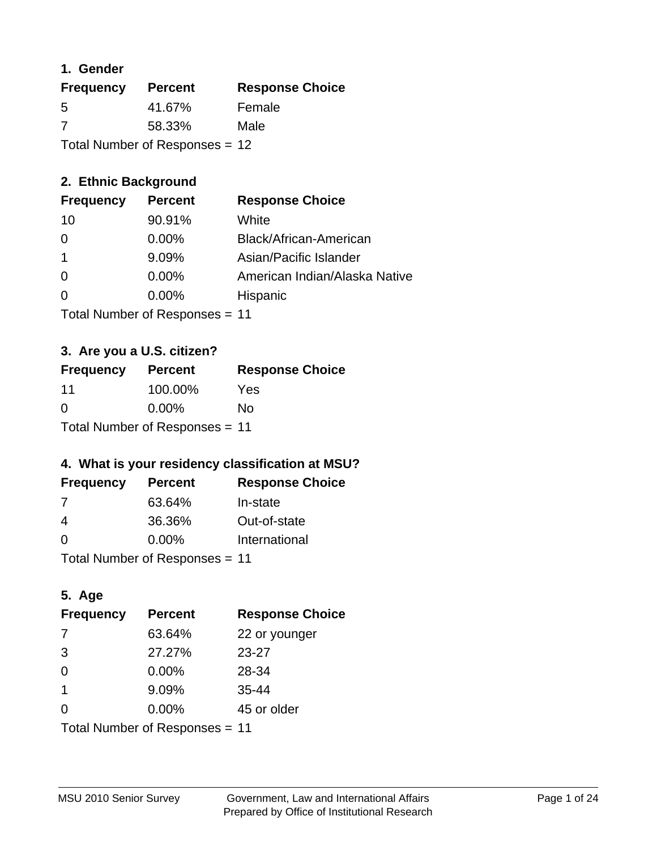### **1. Gender**

| <b>Frequency</b> | <b>Percent</b>                   | <b>Response Choice</b> |
|------------------|----------------------------------|------------------------|
| 5                | 41.67%                           | Female                 |
| 7                | 58.33%                           | Male                   |
|                  | Total Number of Responses = $12$ |                        |

# **2. Ethnic Background**

| <b>Frequency</b> | <b>Percent</b> | <b>Response Choice</b>        |
|------------------|----------------|-------------------------------|
| 10               | 90.91%         | White                         |
| 0                | $0.00\%$       | Black/African-American        |
|                  | 9.09%          | Asian/Pacific Islander        |
| $\Omega$         | 0.00%          | American Indian/Alaska Native |
| $\Omega$         | 0.00%          | Hispanic                      |
|                  |                |                               |

Total Number of Responses = 11

# **3. Are you a U.S. citizen?**

| <b>Frequency</b>               | <b>Percent</b> | <b>Response Choice</b> |
|--------------------------------|----------------|------------------------|
| 11                             | 100.00%        | Yes                    |
| $\Omega$                       | $0.00\%$       | No                     |
| Total Number of Responses = 11 |                |                        |

# **4. What is your residency classification at MSU?**

| <b>Frequency</b> | <b>Percent</b> | <b>Response Choice</b> |
|------------------|----------------|------------------------|
| 7                | 63.64%         | In-state               |
| 4                | 36.36%         | Out-of-state           |
| $\Omega$         | $0.00\%$       | International          |
|                  |                |                        |

Total Number of Responses = 11

# **5. Age**

| <b>Frequency</b>               | <b>Percent</b> | <b>Response Choice</b> |
|--------------------------------|----------------|------------------------|
| -7                             | 63.64%         | 22 or younger          |
| 3                              | 27.27%         | $23 - 27$              |
| $\Omega$                       | 0.00%          | 28-34                  |
| $\mathbf{1}$                   | 9.09%          | $35 - 44$              |
| 0                              | 0.00%          | 45 or older            |
| Total Number of Responses = 11 |                |                        |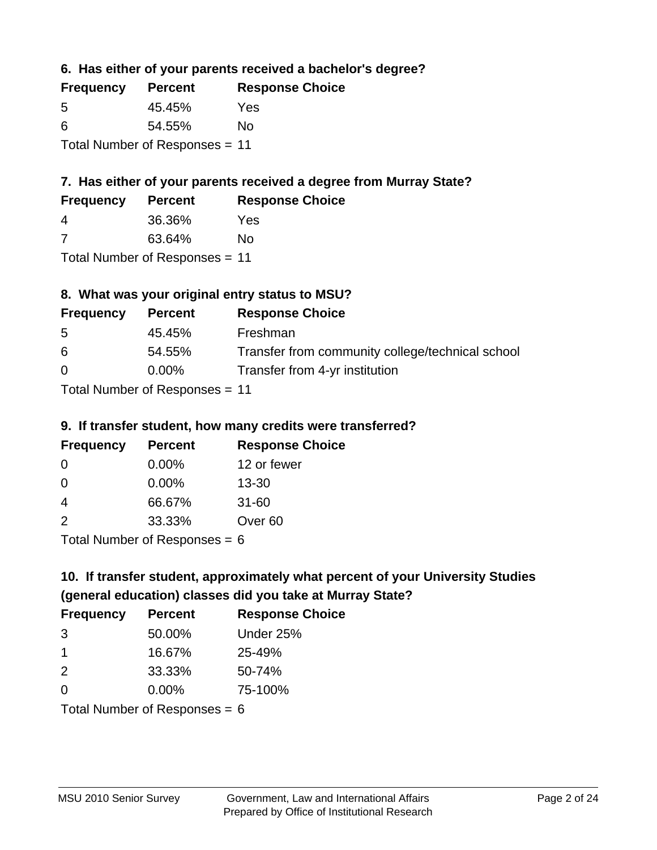**6. Has either of your parents received a bachelor's degree?**

| <b>Frequency</b>               | <b>Percent</b> | <b>Response Choice</b> |
|--------------------------------|----------------|------------------------|
| .5                             | 45.45%         | Yes                    |
| 6                              | 54.55%         | No                     |
| Total Number of Responses = 11 |                |                        |

# **7. Has either of your parents received a degree from Murray State?**

| <b>Frequency</b> | <b>Percent</b> | <b>Response Choice</b> |
|------------------|----------------|------------------------|
| 4                | 36.36%         | Yes                    |
|                  | 63.64%         | No                     |

Total Number of Responses = 11

# **8. What was your original entry status to MSU?**

| <b>Frequency</b> | <b>Percent</b>               | <b>Response Choice</b>                           |
|------------------|------------------------------|--------------------------------------------------|
| .5               | 45.45%                       | Freshman                                         |
| 6                | 54.55%                       | Transfer from community college/technical school |
| $\Omega$         | $0.00\%$                     | Transfer from 4-yr institution                   |
|                  | Total Number of Deepensee 44 |                                                  |

Total Number of Responses = 11

### **9. If transfer student, how many credits were transferred?**

| <b>Frequency</b>           | <b>Percent</b> | <b>Response Choice</b> |
|----------------------------|----------------|------------------------|
| -0                         | $0.00\%$       | 12 or fewer            |
| -0                         | 0.00%          | $13 - 30$              |
| -4                         | 66.67%         | $31 - 60$              |
| $\mathcal{P}$              | 33.33%         | Over <sub>60</sub>     |
| Total Number of Deepersoon |                |                        |

I otal Number of Responses  $= 6$ 

# **10. If transfer student, approximately what percent of your University Studies (general education) classes did you take at Murray State?**

| <b>Frequency</b>              | <b>Percent</b> | <b>Response Choice</b> |
|-------------------------------|----------------|------------------------|
| 3                             | 50.00%         | Under 25%              |
| $\mathbf 1$                   | 16.67%         | 25-49%                 |
| 2                             | 33.33%         | 50-74%                 |
| $\Omega$                      | $0.00\%$       | 75-100%                |
| $Total Number of Denonce - 6$ |                |                        |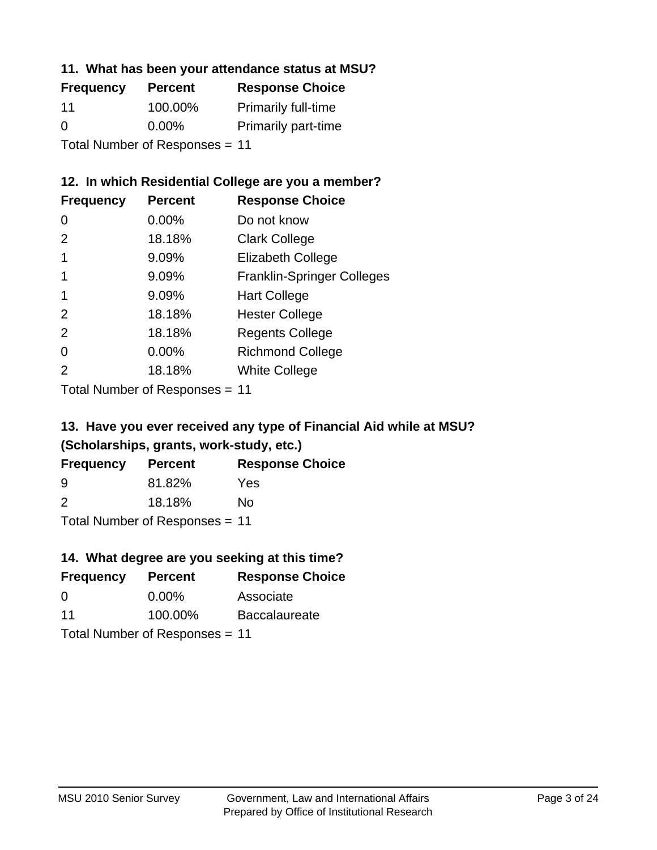### **11. What has been your attendance status at MSU?**

| <b>Frequency</b>               | <b>Percent</b> | <b>Response Choice</b>     |
|--------------------------------|----------------|----------------------------|
| 11                             | 100.00%        | <b>Primarily full-time</b> |
| $\Omega$                       | $0.00\%$       | <b>Primarily part-time</b> |
| Total Number of Responses = 11 |                |                            |

## **12. In which Residential College are you a member?**

| <b>Frequency</b> | <b>Percent</b> | <b>Response Choice</b>            |
|------------------|----------------|-----------------------------------|
| $\Omega$         | 0.00%          | Do not know                       |
| 2                | 18.18%         | <b>Clark College</b>              |
| 1                | 9.09%          | <b>Elizabeth College</b>          |
| 1                | 9.09%          | <b>Franklin-Springer Colleges</b> |
|                  | 9.09%          | <b>Hart College</b>               |
| 2                | 18.18%         | <b>Hester College</b>             |
| 2                | 18.18%         | <b>Regents College</b>            |
| $\Omega$         | 0.00%          | <b>Richmond College</b>           |
| $\overline{2}$   | 18.18%         | <b>White College</b>              |
|                  |                |                                   |

Total Number of Responses = 11

# **13. Have you ever received any type of Financial Aid while at MSU? (Scholarships, grants, work-study, etc.)**

| <b>Frequency</b> | <b>Percent</b>                      | <b>Response Choice</b> |
|------------------|-------------------------------------|------------------------|
| 9                | 81.82%                              | Yes                    |
| 2                | 18.18%                              | No                     |
|                  | Total Number of Doepo<br>po<br>0.44 |                        |

Total Number of Responses = 11

# **14. What degree are you seeking at this time?**

| <b>Frequency</b> | <b>Percent</b>                 | <b>Response Choice</b> |
|------------------|--------------------------------|------------------------|
| 0                | $0.00\%$                       | Associate              |
| 11               | 100.00%                        | <b>Baccalaureate</b>   |
|                  | Total Number of Responses = 11 |                        |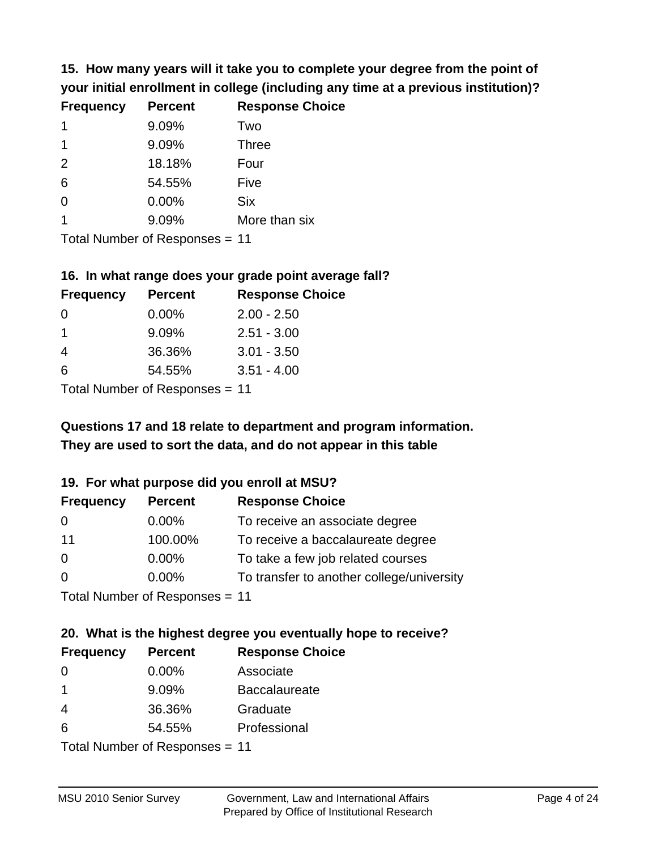**15. How many years will it take you to complete your degree from the point of your initial enrollment in college (including any time at a previous institution)?**

| <b>Frequency</b> | <b>Percent</b> | <b>Response Choice</b> |
|------------------|----------------|------------------------|
| $\mathbf 1$      | 9.09%          | Two                    |
| 1                | 9.09%          | <b>Three</b>           |
| 2                | 18.18%         | Four                   |
| 6                | 54.55%         | Five                   |
| 0                | 0.00%          | <b>Six</b>             |
|                  | 9.09%          | More than six          |
|                  |                |                        |

Total Number of Responses = 11

#### **16. In what range does your grade point average fall?**

| <b>Frequency</b> | <b>Percent</b> | <b>Response Choice</b> |
|------------------|----------------|------------------------|
| -0               | $0.00\%$       | $2.00 - 2.50$          |
| 1                | 9.09%          | $2.51 - 3.00$          |
| 4                | 36.36%         | $3.01 - 3.50$          |
| 6                | 54.55%         | $3.51 - 4.00$          |
|                  |                |                        |

Total Number of Responses = 11

# **They are used to sort the data, and do not appear in this table Questions 17 and 18 relate to department and program information.**

#### **19. For what purpose did you enroll at MSU?**

| <b>Frequency</b>                | <b>Percent</b> | <b>Response Choice</b>                    |
|---------------------------------|----------------|-------------------------------------------|
| 0                               | $0.00\%$       | To receive an associate degree            |
| 11                              | 100.00%        | To receive a baccalaureate degree         |
| $\Omega$                        | $0.00\%$       | To take a few job related courses         |
| $\Omega$                        | 0.00%          | To transfer to another college/university |
| Total Number of Decononces - 11 |                |                                           |

Total Number of Responses = 11

# **20. What is the highest degree you eventually hope to receive?**

| <b>Frequency</b> | <b>Percent</b>             | <b>Response Choice</b> |
|------------------|----------------------------|------------------------|
| 0                | $0.00\%$                   | Associate              |
| $\mathbf 1$      | 9.09%                      | <b>Baccalaureate</b>   |
| 4                | 36.36%                     | Graduate               |
| 6                | 54.55%                     | Professional           |
|                  | Tatal Number of Desperance |                        |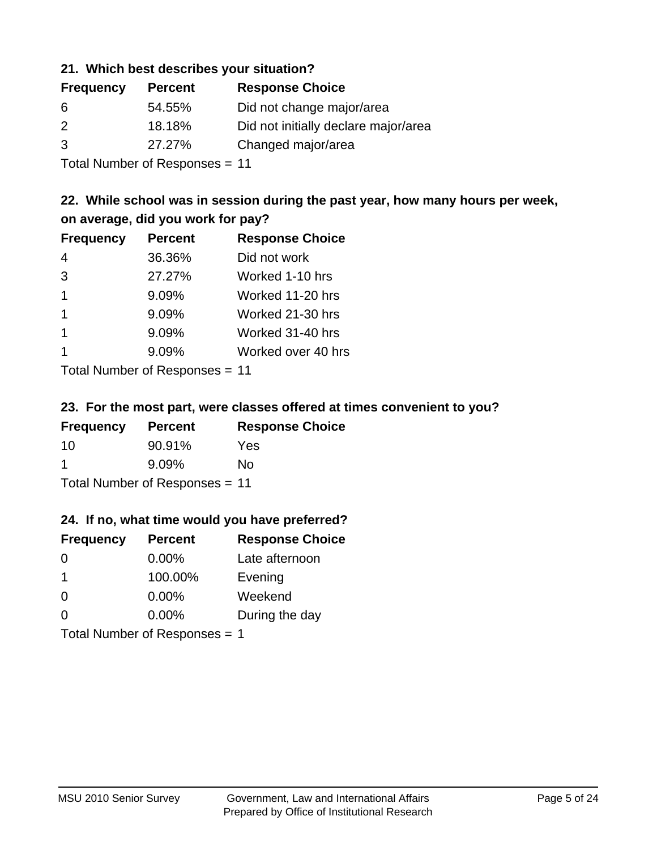#### **21. Which best describes your situation?**

| <b>Percent</b> | <b>Response Choice</b>               |
|----------------|--------------------------------------|
| 54.55%         | Did not change major/area            |
| 18.18%         | Did not initially declare major/area |
| 27.27%         | Changed major/area                   |
|                |                                      |

Total Number of Responses = 11

## **22. While school was in session during the past year, how many hours per week, on average, did you work for pay?**

| <b>Frequency</b> | <b>Percent</b> | <b>Response Choice</b> |
|------------------|----------------|------------------------|
| 4                | 36.36%         | Did not work           |
| 3                | 27.27%         | Worked 1-10 hrs        |
| $\overline{1}$   | 9.09%          | Worked 11-20 hrs       |
| $\mathbf 1$      | 9.09%          | Worked 21-30 hrs       |
| $\mathbf 1$      | 9.09%          | Worked 31-40 hrs       |
|                  | 9.09%          | Worked over 40 hrs     |
|                  |                |                        |

Total Number of Responses = 11

#### **23. For the most part, were classes offered at times convenient to you?**

| <b>Frequency</b>               | <b>Percent</b> | <b>Response Choice</b> |  |
|--------------------------------|----------------|------------------------|--|
| 10                             | 90.91%         | Yes                    |  |
| -1                             | $9.09\%$       | No.                    |  |
| Total Number of Responses = 11 |                |                        |  |

### **24. If no, what time would you have preferred?**

| <b>Frequency</b>              | <b>Percent</b> | <b>Response Choice</b> |
|-------------------------------|----------------|------------------------|
| $\Omega$                      | $0.00\%$       | Late afternoon         |
| $\mathbf 1$                   | 100.00%        | Evening                |
| $\Omega$                      | $0.00\%$       | Weekend                |
| $\Omega$                      | $0.00\%$       | During the day         |
| Total Number of Responses = 1 |                |                        |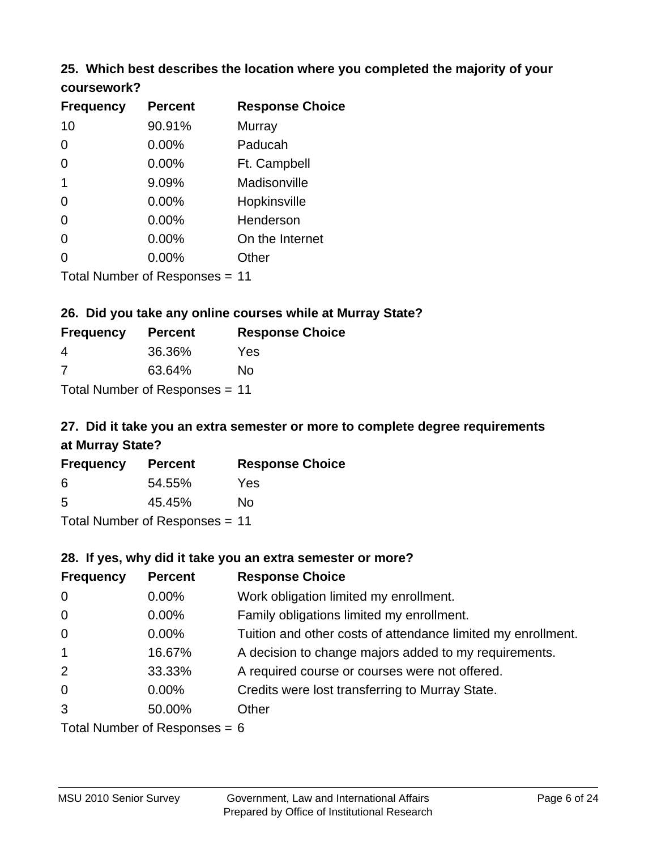# **25. Which best describes the location where you completed the majority of your**

| coursework? |  |
|-------------|--|
|-------------|--|

| <b>Frequency</b> | <b>Percent</b>                 | <b>Response Choice</b> |
|------------------|--------------------------------|------------------------|
| 10               | 90.91%                         | Murray                 |
| 0                | 0.00%                          | Paducah                |
| 0                | 0.00%                          | Ft. Campbell           |
| 1                | 9.09%                          | Madisonville           |
| 0                | 0.00%                          | Hopkinsville           |
| 0                | $0.00\%$                       | Henderson              |
| 0                | 0.00%                          | On the Internet        |
| 0                | $0.00\%$                       | Other                  |
|                  | Total Number of Responses = 11 |                        |

#### **26. Did you take any online courses while at Murray State?**

| <b>Frequency</b>               | <b>Percent</b> | <b>Response Choice</b> |  |  |
|--------------------------------|----------------|------------------------|--|--|
| -4                             | 36.36%         | Yes                    |  |  |
| -7                             | 63.64%         | No                     |  |  |
| Total Number of Responses = 11 |                |                        |  |  |

# **27. Did it take you an extra semester or more to complete degree requirements at Murray State?**

| <b>Frequency</b>               | <b>Percent</b> | <b>Response Choice</b> |  |  |
|--------------------------------|----------------|------------------------|--|--|
| 6                              | 54.55%         | Yes                    |  |  |
| .5                             | 45.45%         | No                     |  |  |
| Total Number of Responses = 11 |                |                        |  |  |

# **28. If yes, why did it take you an extra semester or more?**

| <b>Frequency</b>                | <b>Percent</b> | <b>Response Choice</b>                                       |  |  |
|---------------------------------|----------------|--------------------------------------------------------------|--|--|
| $\mathbf 0$                     | 0.00%          | Work obligation limited my enrollment.                       |  |  |
| $\mathbf 0$                     | $0.00\%$       | Family obligations limited my enrollment.                    |  |  |
| $\mathbf 0$                     | $0.00\%$       | Tuition and other costs of attendance limited my enrollment. |  |  |
| $\mathbf{1}$                    | 16.67%         | A decision to change majors added to my requirements.        |  |  |
| 2                               | 33.33%         | A required course or courses were not offered.               |  |  |
| $\overline{0}$                  | $0.00\%$       | Credits were lost transferring to Murray State.              |  |  |
| 3                               | 50.00%         | Other                                                        |  |  |
| Total Number of Responses $-$ 6 |                |                                                              |  |  |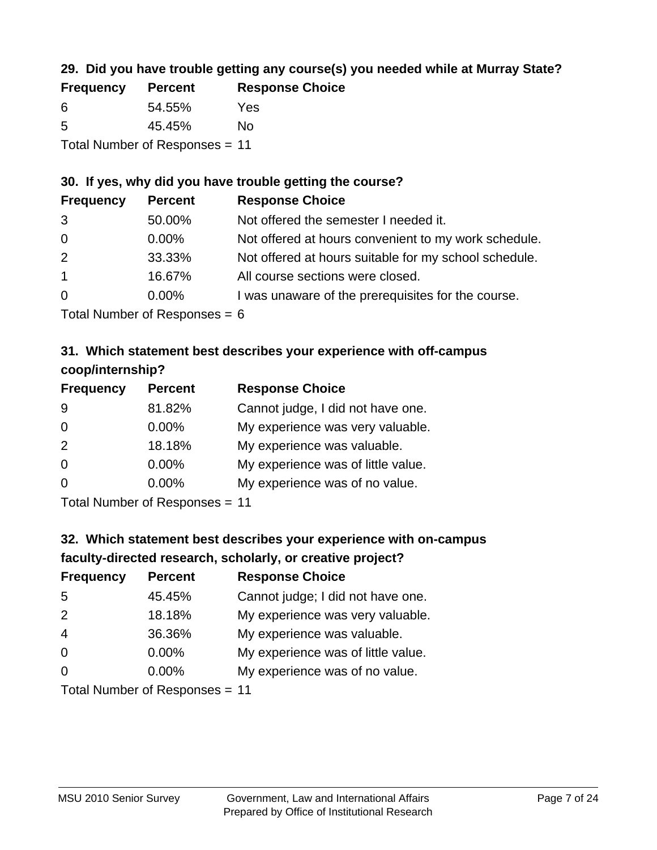# **29. Did you have trouble getting any course(s) you needed while at Murray State?**

| <b>Frequency</b>               | <b>Percent</b> | <b>Response Choice</b> |  |  |
|--------------------------------|----------------|------------------------|--|--|
| -6                             | 54.55%         | Yes                    |  |  |
| -5                             | 45.45%         | Nο                     |  |  |
| Total Number of Responses = 11 |                |                        |  |  |

#### **30. If yes, why did you have trouble getting the course?**

| <b>Frequency</b> | <b>Percent</b> | <b>Response Choice</b>                                |
|------------------|----------------|-------------------------------------------------------|
| 3                | 50.00%         | Not offered the semester I needed it.                 |
| $\overline{0}$   | $0.00\%$       | Not offered at hours convenient to my work schedule.  |
| 2                | 33.33%         | Not offered at hours suitable for my school schedule. |
| $\overline{1}$   | 16.67%         | All course sections were closed.                      |
| $\overline{0}$   | $0.00\%$       | I was unaware of the prerequisites for the course.    |
|                  |                |                                                       |

Total Number of Responses  $= 6$ 

# **31. Which statement best describes your experience with off-campus coop/internship?**

| <b>Frequency</b> | <b>Percent</b>               | <b>Response Choice</b>             |
|------------------|------------------------------|------------------------------------|
| 9                | 81.82%                       | Cannot judge, I did not have one.  |
| $\Omega$         | $0.00\%$                     | My experience was very valuable.   |
| 2                | 18.18%                       | My experience was valuable.        |
| $\Omega$         | $0.00\%$                     | My experience was of little value. |
| $\Omega$         | 0.00%                        | My experience was of no value.     |
|                  | $T$ and Number of Decomposed |                                    |

Total Number of Responses = 11

# **32. Which statement best describes your experience with on-campus faculty-directed research, scholarly, or creative project?**

| <b>Frequency</b> | <b>Percent</b>             | <b>Response Choice</b>             |
|------------------|----------------------------|------------------------------------|
| 5                | 45.45%                     | Cannot judge; I did not have one.  |
| 2                | 18.18%                     | My experience was very valuable.   |
| $\overline{4}$   | 36.36%                     | My experience was valuable.        |
| $\overline{0}$   | $0.00\%$                   | My experience was of little value. |
| $\Omega$         | 0.00%                      | My experience was of no value.     |
|                  | Tatal Number of Desperance |                                    |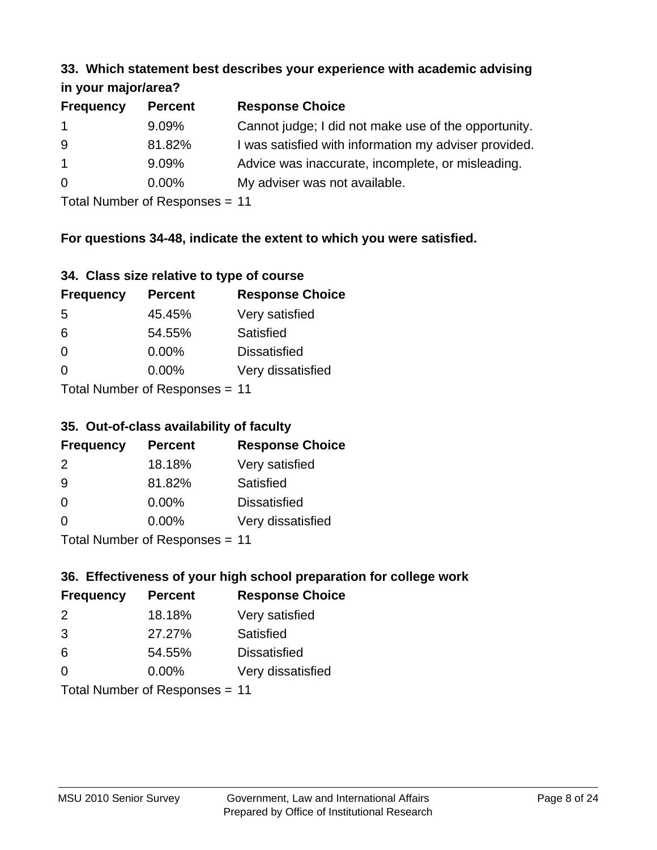#### **33. Which statement best describes your experience with academic advising in your major/area?**

| <b>Frequency</b> | <b>Percent</b> | <b>Response Choice</b>                                |
|------------------|----------------|-------------------------------------------------------|
| $\mathbf{1}$     | 9.09%          | Cannot judge; I did not make use of the opportunity.  |
| 9                | 81.82%         | I was satisfied with information my adviser provided. |
| $\overline{1}$   | 9.09%          | Advice was inaccurate, incomplete, or misleading.     |
| $\overline{0}$   | $0.00\%$       | My adviser was not available.                         |
|                  |                |                                                       |

Total Number of Responses = 11

# **For questions 34-48, indicate the extent to which you were satisfied.**

| 34. Class size relative to type of course |  |  |  |  |  |  |  |  |
|-------------------------------------------|--|--|--|--|--|--|--|--|
|-------------------------------------------|--|--|--|--|--|--|--|--|

| <b>Frequency</b>               | <b>Percent</b> | <b>Response Choice</b> |  |  |
|--------------------------------|----------------|------------------------|--|--|
| -5                             | 45.45%         | Very satisfied         |  |  |
| 6                              | 54.55%         | Satisfied              |  |  |
| $\Omega$                       | $0.00\%$       | <b>Dissatisfied</b>    |  |  |
| $\Omega$                       | $0.00\%$       | Very dissatisfied      |  |  |
| Total Number of Responses - 11 |                |                        |  |  |

Total Number of Responses = 11

### **35. Out-of-class availability of faculty**

| <b>Frequency</b> | <b>Percent</b>            | <b>Response Choice</b> |
|------------------|---------------------------|------------------------|
| $\mathcal{P}$    | 18.18%                    | Very satisfied         |
| 9                | 81.82%                    | Satisfied              |
| $\Omega$         | $0.00\%$                  | <b>Dissatisfied</b>    |
| $\Omega$         | $0.00\%$                  | Very dissatisfied      |
|                  | Total Number of Deepersee |                        |

Total Number of Responses = 11

# **36. Effectiveness of your high school preparation for college work**

| <b>Frequency</b>               | <b>Percent</b> | <b>Response Choice</b> |  |  |
|--------------------------------|----------------|------------------------|--|--|
| $\mathcal{P}$                  | 18.18%         | Very satisfied         |  |  |
| 3                              | 27.27%         | Satisfied              |  |  |
| 6                              | 54.55%         | <b>Dissatisfied</b>    |  |  |
| $\Omega$                       | $0.00\%$       | Very dissatisfied      |  |  |
| Total Number of Responses - 11 |                |                        |  |  |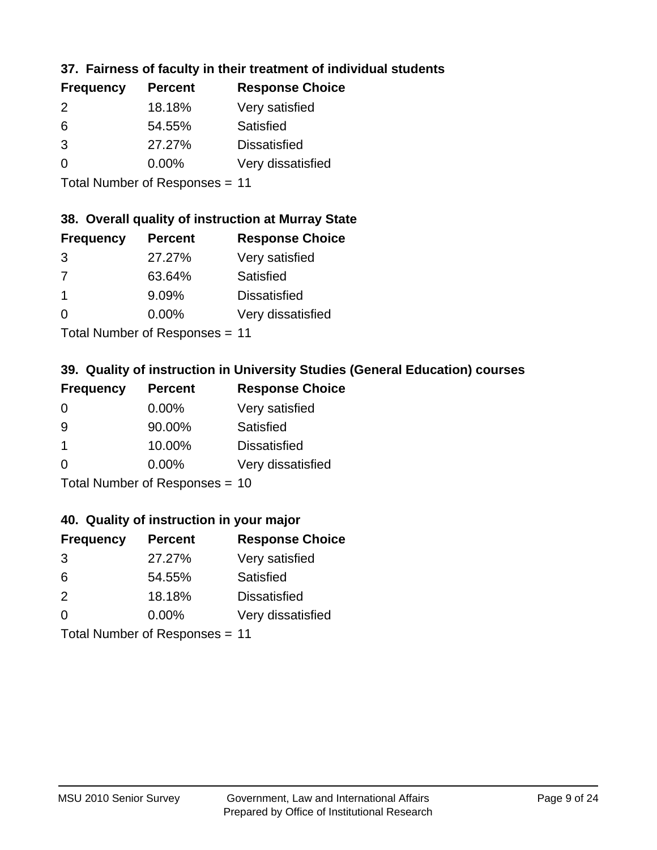# **37. Fairness of faculty in their treatment of individual students**

| <b>Frequency</b> | <b>Percent</b> | <b>Response Choice</b> |
|------------------|----------------|------------------------|
| $\mathcal{P}$    | 18.18%         | Very satisfied         |
| 6                | 54.55%         | Satisfied              |
| 3                | 27.27%         | <b>Dissatisfied</b>    |
| $\Omega$         | $0.00\%$       | Very dissatisfied      |
|                  |                |                        |

Total Number of Responses = 11

#### **38. Overall quality of instruction at Murray State**

| <b>Frequency</b> | <b>Percent</b> | <b>Response Choice</b> |
|------------------|----------------|------------------------|
| 3                | 27.27%         | Very satisfied         |
| 7                | 63.64%         | Satisfied              |
|                  | 9.09%          | <b>Dissatisfied</b>    |
| $\Omega$         | 0.00%          | Very dissatisfied      |
|                  |                |                        |

Total Number of Responses = 11

## **39. Quality of instruction in University Studies (General Education) courses**

| <b>Frequency</b> | <b>Percent</b>              | <b>Response Choice</b> |
|------------------|-----------------------------|------------------------|
| $\Omega$         | $0.00\%$                    | Very satisfied         |
| 9                | 90.00%                      | Satisfied              |
| $\overline{1}$   | 10.00%                      | <b>Dissatisfied</b>    |
| $\Omega$         | $0.00\%$                    | Very dissatisfied      |
|                  | $Total Number of Denonce -$ |                        |

Total Number of Responses = 10

#### **40. Quality of instruction in your major**

| <b>Frequency</b> | <b>Percent</b> | <b>Response Choice</b> |
|------------------|----------------|------------------------|
| 3                | 27.27%         | Very satisfied         |
| 6                | 54.55%         | Satisfied              |
| 2                | 18.18%         | <b>Dissatisfied</b>    |
| $\Omega$         | 0.00%          | Very dissatisfied      |
|                  |                |                        |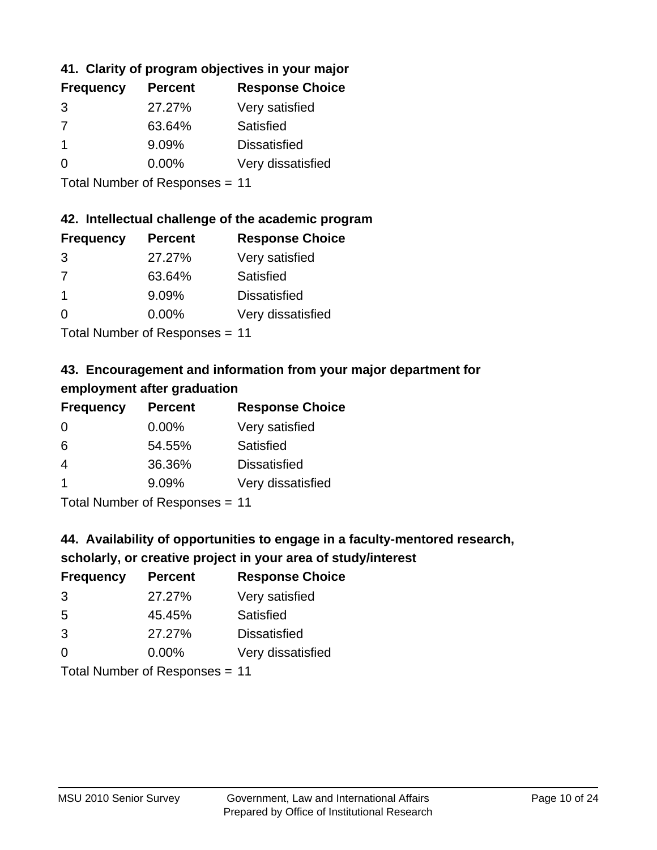# **41. Clarity of program objectives in your major**

| <b>Frequency</b> | <b>Percent</b> | <b>Response Choice</b> |
|------------------|----------------|------------------------|
| 3                | 27.27%         | Very satisfied         |
| 7                | 63.64%         | Satisfied              |
|                  | 9.09%          | <b>Dissatisfied</b>    |
| $\Omega$         | $0.00\%$       | Very dissatisfied      |
|                  |                |                        |

Total Number of Responses = 11

#### **42. Intellectual challenge of the academic program**

| <b>Frequency</b> | <b>Percent</b> | <b>Response Choice</b> |
|------------------|----------------|------------------------|
| 3                | 27.27%         | Very satisfied         |
| 7                | 63.64%         | Satisfied              |
| -1               | 9.09%          | <b>Dissatisfied</b>    |
| $\Omega$         | 0.00%          | Very dissatisfied      |
|                  |                |                        |

Total Number of Responses = 11

# **43. Encouragement and information from your major department for employment after graduation**

| <b>Frequency</b>     | <b>Percent</b>                | <b>Response Choice</b> |
|----------------------|-------------------------------|------------------------|
| 0                    | $0.00\%$                      | Very satisfied         |
| 6                    | 54.55%                        | Satisfied              |
| 4                    | 36.36%                        | <b>Dissatisfied</b>    |
| $\blacktriangleleft$ | 9.09%                         | Very dissatisfied      |
|                      | $T$ and Number and Decomposed |                        |

Total Number of Responses = 11

# **44. Availability of opportunities to engage in a faculty-mentored research,**

### **scholarly, or creative project in your area of study/interest**

| <b>Frequency</b> | <b>Percent</b> | <b>Response Choice</b> |
|------------------|----------------|------------------------|
| 3                | 27.27%         | Very satisfied         |
| 5                | 45.45%         | Satisfied              |
| 3                | 27.27%         | <b>Dissatisfied</b>    |
| $\Omega$         | 0.00%          | Very dissatisfied      |
|                  |                |                        |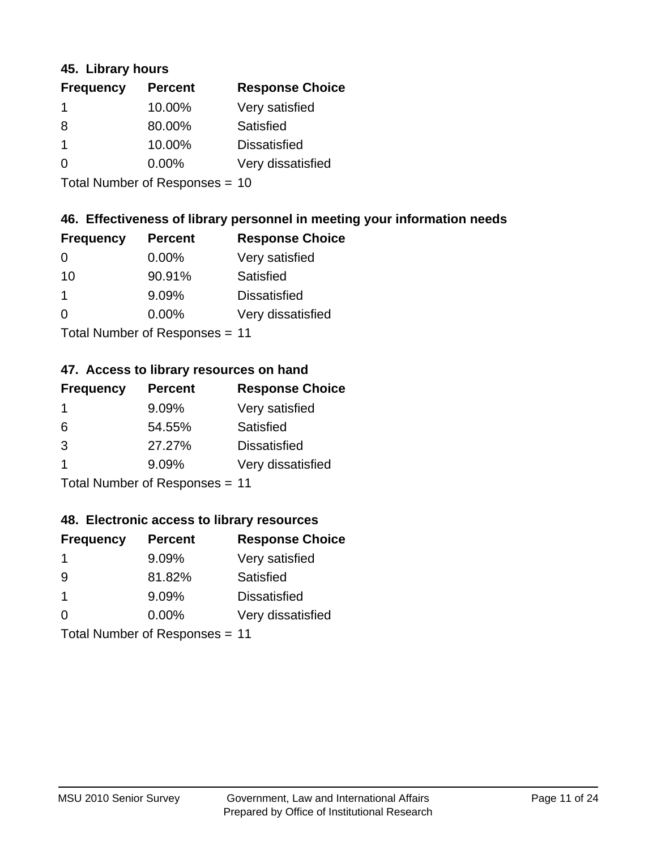#### **45. Library hours**

| <b>Frequency</b> | <b>Percent</b> | <b>Response Choice</b> |
|------------------|----------------|------------------------|
| -1               | 10.00%         | Very satisfied         |
| 8                | 80.00%         | Satisfied              |
|                  | 10.00%         | <b>Dissatisfied</b>    |
| $\Omega$         | 0.00%          | Very dissatisfied      |
|                  |                |                        |

Total Number of Responses = 10

### **46. Effectiveness of library personnel in meeting your information needs**

| <b>Frequency</b> | <b>Percent</b> | <b>Response Choice</b> |
|------------------|----------------|------------------------|
| 0                | $0.00\%$       | Very satisfied         |
| 10               | 90.91%         | Satisfied              |
|                  | 9.09%          | <b>Dissatisfied</b>    |
| $\Omega$         | 0.00%          | Very dissatisfied      |
|                  |                |                        |

Total Number of Responses = 11

#### **47. Access to library resources on hand**

| <b>Frequency</b> | <b>Percent</b>             | <b>Response Choice</b> |
|------------------|----------------------------|------------------------|
| -1               | 9.09%                      | Very satisfied         |
| 6                | 54.55%                     | Satisfied              |
| 3                | 27.27%                     | <b>Dissatisfied</b>    |
|                  | 9.09%                      | Very dissatisfied      |
|                  | Tatal Number of Desperance |                        |

Total Number of Responses = 11

#### **48. Electronic access to library resources**

| <b>Frequency</b> | <b>Percent</b>                 | <b>Response Choice</b> |
|------------------|--------------------------------|------------------------|
|                  | 9.09%                          | Very satisfied         |
| -9               | 81.82%                         | Satisfied              |
| -1               | 9.09%                          | <b>Dissatisfied</b>    |
| $\Omega$         | $0.00\%$                       | Very dissatisfied      |
|                  | Total Number of Responses = 11 |                        |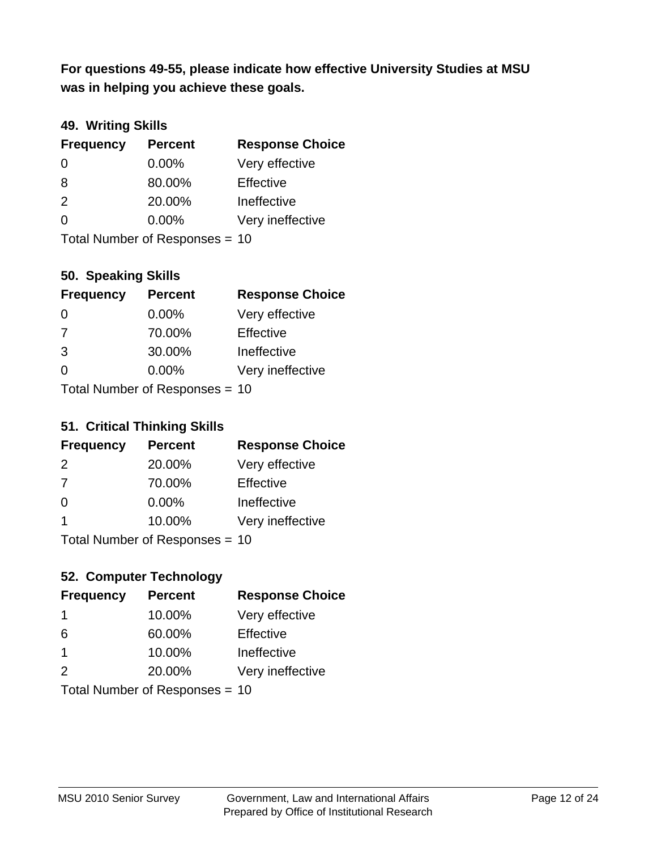**was in helping you achieve these goals. For questions 49-55, please indicate how effective University Studies at MSU** 

## **49. Writing Skills**

| <b>Frequency</b> | <b>Percent</b>                 | <b>Response Choice</b> |
|------------------|--------------------------------|------------------------|
| $\Omega$         | $0.00\%$                       | Very effective         |
| 8                | 80.00%                         | Effective              |
| 2                | 20.00%                         | Ineffective            |
| $\Omega$         | $0.00\%$                       | Very ineffective       |
|                  | Total Number of Responses = 10 |                        |

#### **50. Speaking Skills**

| <b>Frequency</b>               | <b>Percent</b> | <b>Response Choice</b> |
|--------------------------------|----------------|------------------------|
| $\Omega$                       | $0.00\%$       | Very effective         |
| 7                              | 70.00%         | Effective              |
| 3                              | 30.00%         | Ineffective            |
| $\Omega$                       | 0.00%          | Very ineffective       |
| Total Number of Poenonces - 10 |                |                        |

Total Number of Responses = 10

#### **51. Critical Thinking Skills**

| <b>Frequency</b> | <b>Percent</b>            | <b>Response Choice</b> |
|------------------|---------------------------|------------------------|
| 2                | 20.00%                    | Very effective         |
| 7                | 70.00%                    | Effective              |
| $\Omega$         | 0.00%                     | Ineffective            |
| -1               | 10.00%                    | Very ineffective       |
|                  | Total Number of DoEROR 0. |                        |

Total Number of Responses = 10

# **52. Computer Technology**

| <b>Frequency</b>        | <b>Percent</b>                 | <b>Response Choice</b> |
|-------------------------|--------------------------------|------------------------|
| -1                      | 10.00%                         | Very effective         |
| 6                       | 60.00%                         | Effective              |
| $\overline{\mathbf{1}}$ | 10.00%                         | Ineffective            |
| $\mathcal{P}$           | 20.00%                         | Very ineffective       |
|                         | Total Number of Responses = 10 |                        |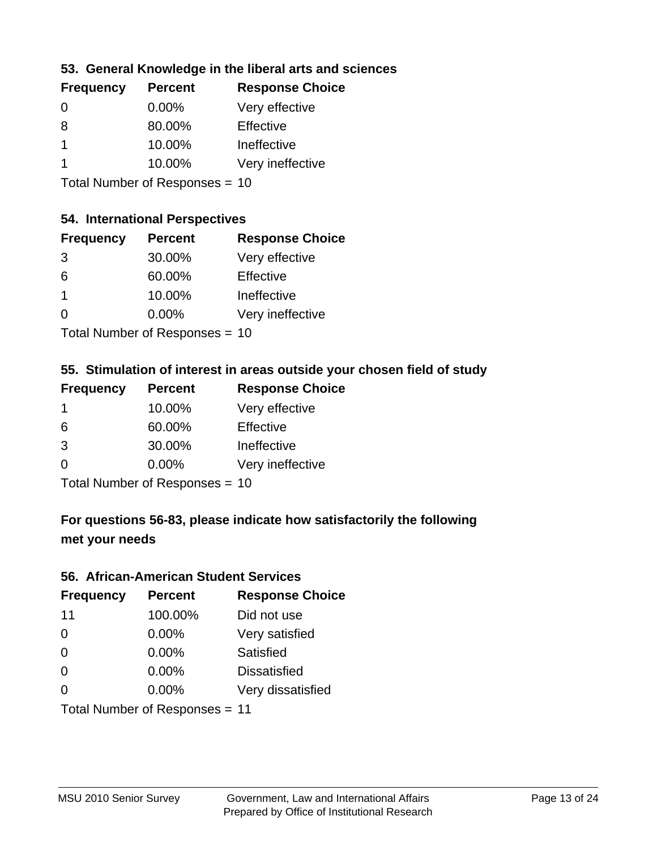## **53. General Knowledge in the liberal arts and sciences**

| <b>Frequency</b> | <b>Percent</b> | <b>Response Choice</b> |
|------------------|----------------|------------------------|
| $\Omega$         | $0.00\%$       | Very effective         |
| 8                | 80.00%         | Effective              |
|                  | 10.00%         | Ineffective            |
|                  | 10.00%         | Very ineffective       |
|                  |                |                        |

Total Number of Responses = 10

### **54. International Perspectives**

| <b>Frequency</b> | <b>Percent</b> | <b>Response Choice</b> |
|------------------|----------------|------------------------|
| 3                | 30.00%         | Very effective         |
| 6                | 60.00%         | Effective              |
| 1                | 10.00%         | Ineffective            |
| 0                | 0.00%          | Very ineffective       |
|                  |                |                        |

Total Number of Responses = 10

# **55. Stimulation of interest in areas outside your chosen field of study**

| <b>Frequency</b> | <b>Percent</b>                 | <b>Response Choice</b> |
|------------------|--------------------------------|------------------------|
| -1               | 10.00%                         | Very effective         |
| 6                | 60.00%                         | Effective              |
| 3                | 30.00%                         | Ineffective            |
| $\Omega$         | 0.00%                          | Very ineffective       |
|                  | Total Number of Responses = 10 |                        |

**For questions 56-83, please indicate how satisfactorily the following met your needs**

#### **56. African-American Student Services**

| <b>Frequency</b> | <b>Percent</b>                 | <b>Response Choice</b> |
|------------------|--------------------------------|------------------------|
| 11               | 100.00%                        | Did not use            |
| $\Omega$         | 0.00%                          | Very satisfied         |
| 0                | 0.00%                          | <b>Satisfied</b>       |
| 0                | $0.00\%$                       | <b>Dissatisfied</b>    |
| $\Omega$         | 0.00%                          | Very dissatisfied      |
|                  | Total Number of Responses = 11 |                        |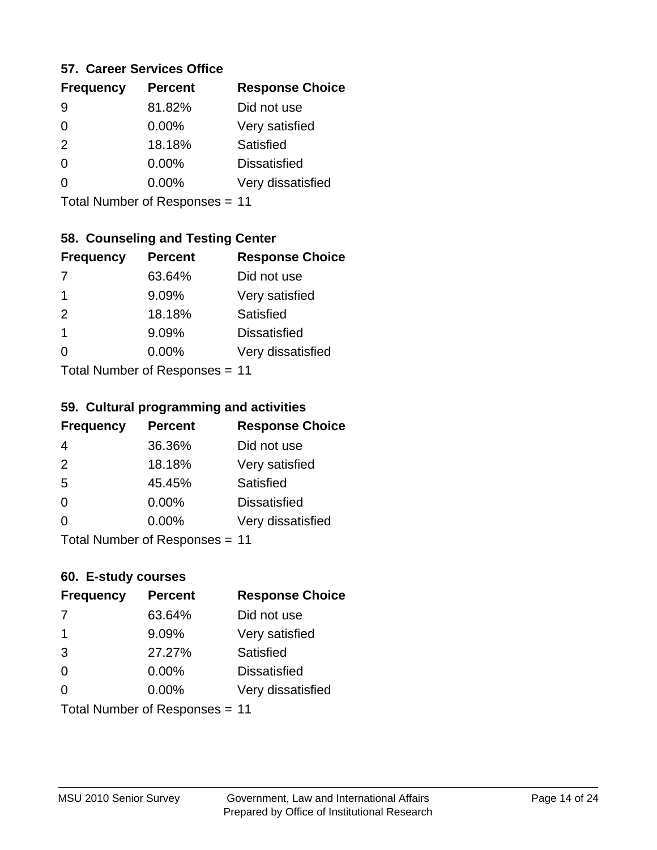#### **57. Career Services Office**

| <b>Frequency</b> | <b>Percent</b> | <b>Response Choice</b> |
|------------------|----------------|------------------------|
| 9                | 81.82%         | Did not use            |
| 0                | $0.00\%$       | Very satisfied         |
| 2                | 18.18%         | Satisfied              |
| 0                | $0.00\%$       | <b>Dissatisfied</b>    |
|                  | $0.00\%$       | Very dissatisfied      |
|                  |                |                        |

Total Number of Responses = 11

### **58. Counseling and Testing Center**

| <b>Frequency</b> | <b>Percent</b>                   | <b>Response Choice</b> |
|------------------|----------------------------------|------------------------|
| -7               | 63.64%                           | Did not use            |
| 1                | 9.09%                            | Very satisfied         |
| 2                | 18.18%                           | Satisfied              |
| 1                | 9.09%                            | <b>Dissatisfied</b>    |
| ∩                | 0.00%                            | Very dissatisfied      |
|                  | $Total Number of Doeponeoc = 11$ |                        |

Total Number of Responses = 11

#### **59. Cultural programming and activities**

| <b>Frequency</b> | <b>Percent</b>            | <b>Response Choice</b> |
|------------------|---------------------------|------------------------|
| 4                | 36.36%                    | Did not use            |
| 2                | 18.18%                    | Very satisfied         |
| 5                | 45.45%                    | Satisfied              |
| $\Omega$         | $0.00\%$                  | <b>Dissatisfied</b>    |
| $\Omega$         | $0.00\%$                  | Very dissatisfied      |
|                  | Total Number of DoEROR 0. |                        |

Total Number of Responses = 11

#### **60. E-study courses**

| <b>Frequency</b> | <b>Percent</b>                 | <b>Response Choice</b> |
|------------------|--------------------------------|------------------------|
| 7                | 63.64%                         | Did not use            |
| $\mathbf 1$      | 9.09%                          | Very satisfied         |
| 3                | 27.27%                         | Satisfied              |
| $\Omega$         | 0.00%                          | <b>Dissatisfied</b>    |
| $\Omega$         | $0.00\%$                       | Very dissatisfied      |
|                  | Total Number of Responses = 11 |                        |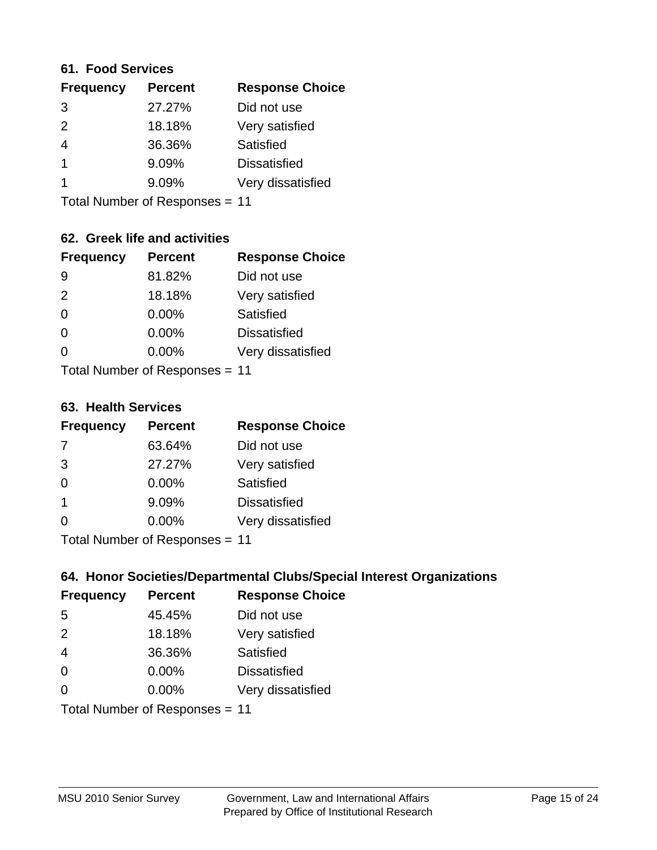#### **61. Food Services**

| <b>Percent</b> | <b>Response Choice</b> |
|----------------|------------------------|
| 27.27%         | Did not use            |
| 18.18%         | Very satisfied         |
| 36.36%         | Satisfied              |
| 9.09%          | <b>Dissatisfied</b>    |
| 9.09%          | Very dissatisfied      |
|                |                        |

Total Number of Responses = 11

# **62. Greek life and activities**

| <b>Frequency</b> | <b>Percent</b>                 | <b>Response Choice</b> |
|------------------|--------------------------------|------------------------|
| 9                | 81.82%                         | Did not use            |
| 2                | 18.18%                         | Very satisfied         |
| $\Omega$         | 0.00%                          | Satisfied              |
| $\Omega$         | 0.00%                          | <b>Dissatisfied</b>    |
| O                | 0.00%                          | Very dissatisfied      |
|                  | Total Number of Responses = 11 |                        |

#### **63. Health Services**

| <b>Frequency</b> | <b>Percent</b>             | <b>Response Choice</b> |
|------------------|----------------------------|------------------------|
| 7                | 63.64%                     | Did not use            |
| 3                | 27.27%                     | Very satisfied         |
| $\Omega$         | $0.00\%$                   | Satisfied              |
| -1               | 9.09%                      | <b>Dissatisfied</b>    |
| $\Omega$         | 0.00%                      | Very dissatisfied      |
|                  | Total Number of Desperance |                        |

Total Number of Responses = 11

### **64. Honor Societies/Departmental Clubs/Special Interest Organizations**

| <b>Frequency</b> | <b>Percent</b>                 | <b>Response Choice</b> |
|------------------|--------------------------------|------------------------|
| 5                | 45.45%                         | Did not use            |
| 2                | 18.18%                         | Very satisfied         |
| $\overline{4}$   | 36.36%                         | Satisfied              |
| $\Omega$         | $0.00\%$                       | <b>Dissatisfied</b>    |
| $\Omega$         | 0.00%                          | Very dissatisfied      |
|                  | Total Number of Responses = 11 |                        |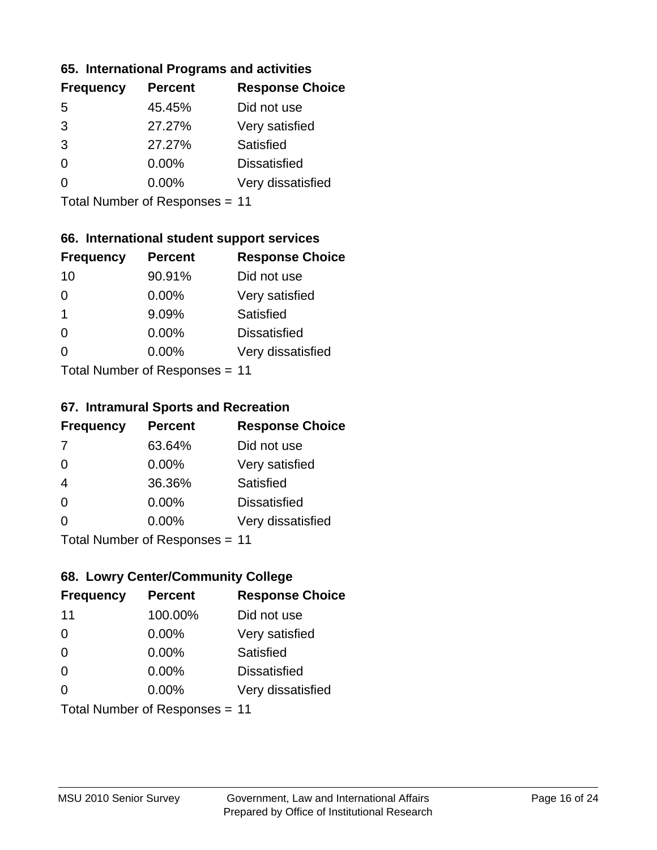#### **65. International Programs and activities**

| <b>Percent</b> | <b>Response Choice</b> |
|----------------|------------------------|
| 45.45%         | Did not use            |
| 27.27%         | Very satisfied         |
| 27.27%         | Satisfied              |
| 0.00%          | <b>Dissatisfied</b>    |
| 0.00%          | Very dissatisfied      |
|                |                        |

Total Number of Responses = 11

## **66. International student support services**

| <b>Frequency</b> | <b>Percent</b>            | <b>Response Choice</b> |
|------------------|---------------------------|------------------------|
| 10               | 90.91%                    | Did not use            |
| 0                | 0.00%                     | Very satisfied         |
| 1                | 9.09%                     | Satisfied              |
| $\Omega$         | 0.00%                     | <b>Dissatisfied</b>    |
| 0                | 0.00%                     | Very dissatisfied      |
|                  | Total Number of DoEROR 0. |                        |

Total Number of Responses = 11

#### **67. Intramural Sports and Recreation**

| <b>Frequency</b> | <b>Percent</b>                  | <b>Response Choice</b> |
|------------------|---------------------------------|------------------------|
| 7                | 63.64%                          | Did not use            |
| $\Omega$         | $0.00\%$                        | Very satisfied         |
| $\overline{4}$   | 36.36%                          | Satisfied              |
| $\Omega$         | $0.00\%$                        | <b>Dissatisfied</b>    |
| $\Omega$         | $0.00\%$                        | Very dissatisfied      |
|                  | $Total Number of Doeponce = 11$ |                        |

Total Number of Responses = 11

# **68. Lowry Center/Community College**

| <b>Frequency</b> | <b>Percent</b>                 | <b>Response Choice</b> |
|------------------|--------------------------------|------------------------|
| 11               | 100.00%                        | Did not use            |
| $\Omega$         | 0.00%                          | Very satisfied         |
| $\Omega$         | 0.00%                          | Satisfied              |
| $\Omega$         | 0.00%                          | <b>Dissatisfied</b>    |
| $\Omega$         | $0.00\%$                       | Very dissatisfied      |
|                  | Total Number of Responses = 11 |                        |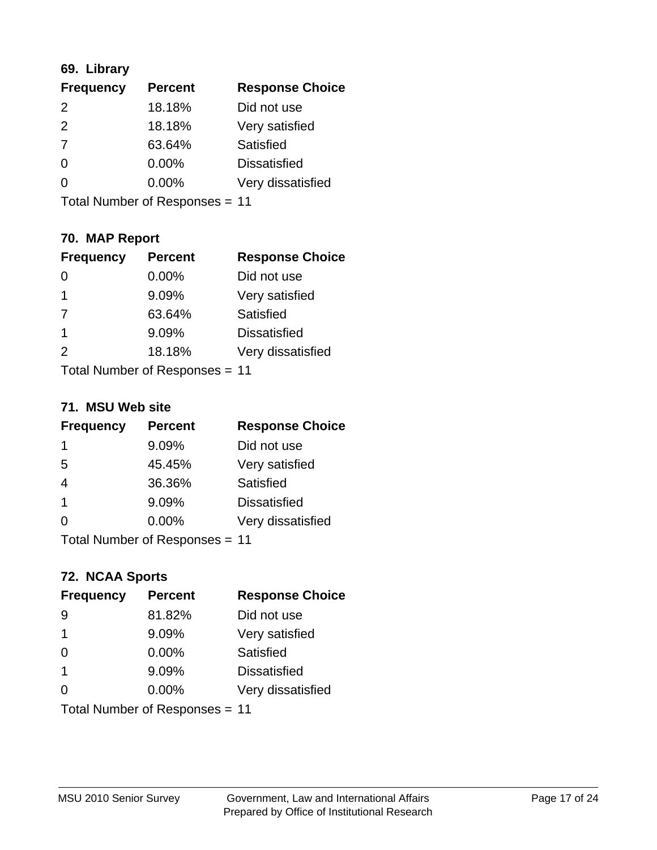# **69. Library**

| <b>Frequency</b> | <b>Percent</b> | <b>Response Choice</b> |
|------------------|----------------|------------------------|
| $\mathcal{P}$    | 18.18%         | Did not use            |
| $\mathcal{P}$    | 18.18%         | Very satisfied         |
| 7                | 63.64%         | <b>Satisfied</b>       |
| $\Omega$         | 0.00%          | <b>Dissatisfied</b>    |
| O                | 0.00%          | Very dissatisfied      |
|                  |                |                        |

Total Number of Responses = 11

# **70. MAP Report**

| <b>Frequency</b> | <b>Percent</b>                 | <b>Response Choice</b> |
|------------------|--------------------------------|------------------------|
|                  | 0.00%                          | Did not use            |
| 1                | 9.09%                          | Very satisfied         |
| 7                | 63.64%                         | Satisfied              |
| $\overline{1}$   | 9.09%                          | <b>Dissatisfied</b>    |
| 2                | 18.18%                         | Very dissatisfied      |
|                  | Total Number of Responses = 11 |                        |

#### **71. MSU Web site**

| <b>Frequency</b> | <b>Percent</b>                 | <b>Response Choice</b> |
|------------------|--------------------------------|------------------------|
| 1                | 9.09%                          | Did not use            |
| 5                | 45.45%                         | Very satisfied         |
| $\overline{4}$   | 36.36%                         | Satisfied              |
| -1               | 9.09%                          | <b>Dissatisfied</b>    |
| ∩                | $0.00\%$                       | Very dissatisfied      |
|                  | Total Number of Responses = 11 |                        |

# **72. NCAA Sports**

| <b>Frequency</b> | <b>Percent</b>                 | <b>Response Choice</b> |
|------------------|--------------------------------|------------------------|
| -9               | 81.82%                         | Did not use            |
| -1               | 9.09%                          | Very satisfied         |
| $\Omega$         | 0.00%                          | Satisfied              |
| -1               | 9.09%                          | <b>Dissatisfied</b>    |
| $\Omega$         | 0.00%                          | Very dissatisfied      |
|                  | Total Number of Responses = 11 |                        |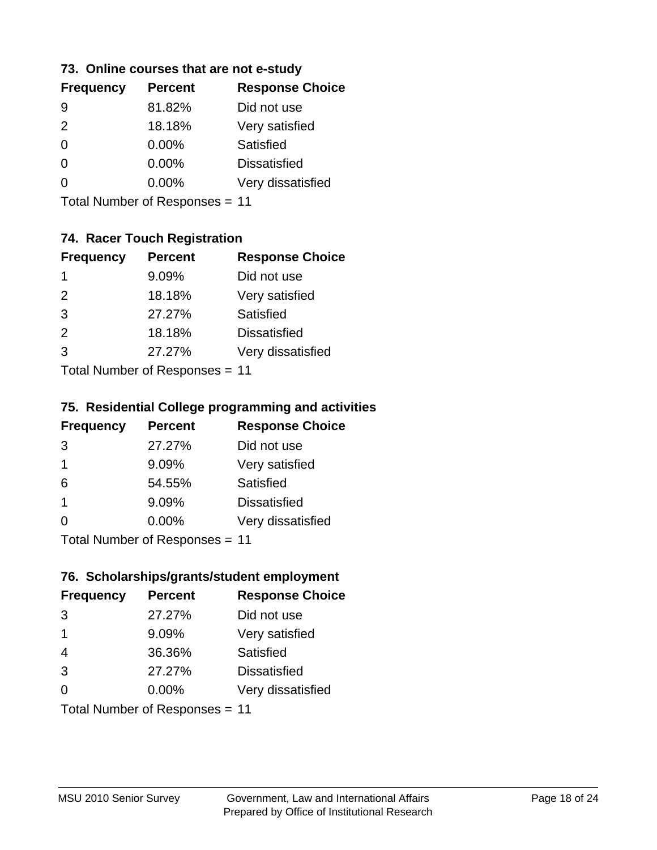#### **73. Online courses that are not e-study**

| <b>Frequency</b> | <b>Percent</b> | <b>Response Choice</b> |
|------------------|----------------|------------------------|
| 9                | 81.82%         | Did not use            |
| $\mathcal{P}$    | 18.18%         | Very satisfied         |
| 0                | $0.00\%$       | Satisfied              |
|                  | $0.00\%$       | <b>Dissatisfied</b>    |
|                  | $0.00\%$       | Very dissatisfied      |
|                  |                |                        |

Total Number of Responses = 11

# **74. Racer Touch Registration**

| <b>Frequency</b>          | <b>Percent</b> | <b>Response Choice</b> |
|---------------------------|----------------|------------------------|
| 1                         | 9.09%          | Did not use            |
| 2                         | 18.18%         | Very satisfied         |
| 3                         | 27.27%         | Satisfied              |
| 2                         | 18.18%         | <b>Dissatisfied</b>    |
| 3                         | 27.27%         | Very dissatisfied      |
| Total Number of Doopepooo |                |                        |

Total Number of Responses = 11

## **75. Residential College programming and activities**

| <b>Frequency</b>                 | <b>Percent</b> | <b>Response Choice</b> |
|----------------------------------|----------------|------------------------|
| 3                                | 27.27%         | Did not use            |
| -1                               | 9.09%          | Very satisfied         |
| 6                                | 54.55%         | Satisfied              |
| -1                               | 9.09%          | <b>Dissatisfied</b>    |
| $\Omega$                         | 0.00%          | Very dissatisfied      |
| $Total Number of Doeponeoc = 11$ |                |                        |

Total Number of Responses = 11

#### **76. Scholarships/grants/student employment**

| <b>Frequency</b>               | <b>Percent</b> | <b>Response Choice</b> |
|--------------------------------|----------------|------------------------|
| 3                              | 27.27%         | Did not use            |
| -1                             | 9.09%          | Very satisfied         |
| $\overline{4}$                 | 36.36%         | Satisfied              |
| 3                              | 27.27%         | <b>Dissatisfied</b>    |
| $\Omega$                       | 0.00%          | Very dissatisfied      |
| Total Number of Responses = 11 |                |                        |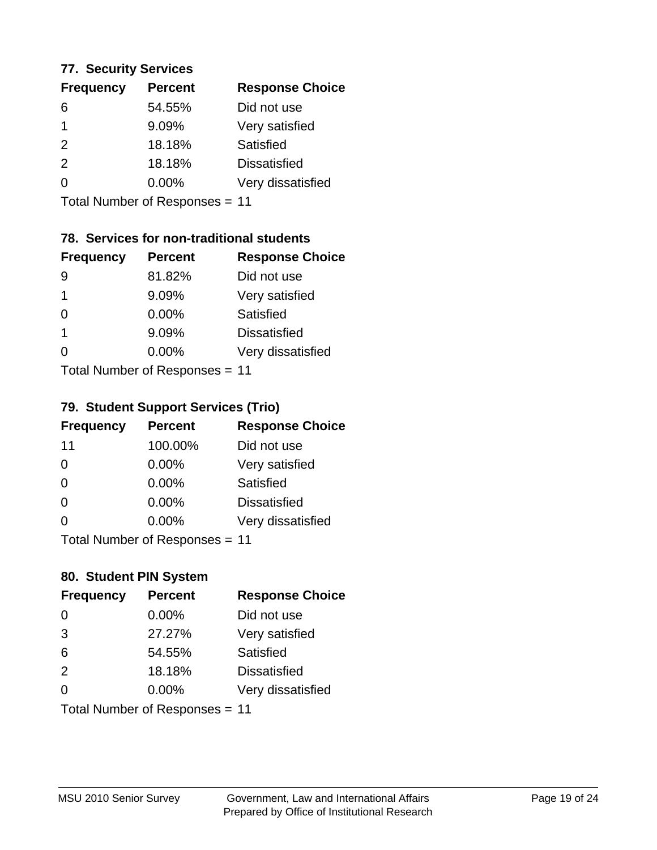#### **77. Security Services**

| <b>Frequency</b> | <b>Percent</b> | <b>Response Choice</b> |
|------------------|----------------|------------------------|
| 6                | 54.55%         | Did not use            |
|                  | 9.09%          | Very satisfied         |
| $\mathcal{P}$    | 18.18%         | Satisfied              |
| $\mathcal{P}$    | 18.18%         | <b>Dissatisfied</b>    |
| ∩                | $0.00\%$       | Very dissatisfied      |
|                  |                |                        |

Total Number of Responses = 11

# **78. Services for non-traditional students**

| <b>Frequency</b>          | <b>Percent</b> | <b>Response Choice</b> |
|---------------------------|----------------|------------------------|
| 9                         | 81.82%         | Did not use            |
| 1                         | 9.09%          | Very satisfied         |
| $\Omega$                  | $0.00\%$       | Satisfied              |
| 1                         | 9.09%          | <b>Dissatisfied</b>    |
| 0                         | 0.00%          | Very dissatisfied      |
| Total Number of DoEROR 0. |                |                        |

Total Number of Responses = 11

## **79. Student Support Services (Trio)**

| <b>Frequency</b> | <b>Percent</b>               | <b>Response Choice</b> |
|------------------|------------------------------|------------------------|
| 11               | 100.00%                      | Did not use            |
| $\Omega$         | 0.00%                        | Very satisfied         |
| $\Omega$         | 0.00%                        | <b>Satisfied</b>       |
| $\Omega$         | 0.00%                        | <b>Dissatisfied</b>    |
| $\Omega$         | 0.00%                        | Very dissatisfied      |
|                  | $Total Number of Denonos -\$ |                        |

Total Number of Responses = 11

# **80. Student PIN System**

| <b>Frequency</b> | <b>Percent</b>                 | <b>Response Choice</b> |
|------------------|--------------------------------|------------------------|
| 0                | 0.00%                          | Did not use            |
| 3                | 27.27%                         | Very satisfied         |
| 6                | 54.55%                         | Satisfied              |
| 2                | 18.18%                         | <b>Dissatisfied</b>    |
| $\Omega$         | $0.00\%$                       | Very dissatisfied      |
|                  | Total Number of Responses = 11 |                        |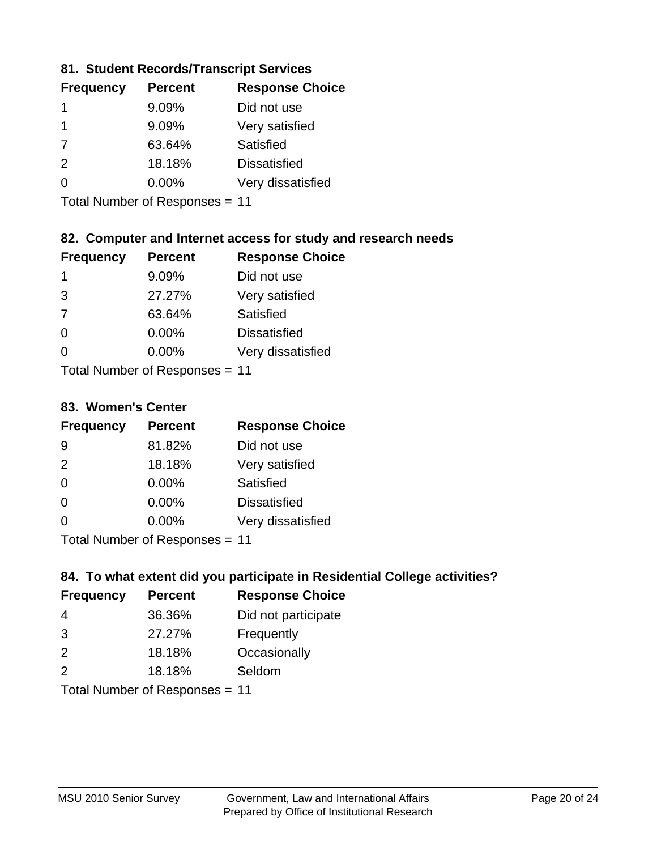### **81. Student Records/Transcript Services**

| <b>Percent</b> | <b>Response Choice</b> |
|----------------|------------------------|
| 9.09%          | Did not use            |
| 9.09%          | Very satisfied         |
| 63.64%         | Satisfied              |
| 18.18%         | <b>Dissatisfied</b>    |
| $0.00\%$       | Very dissatisfied      |
|                |                        |

Total Number of Responses = 11

## **82. Computer and Internet access for study and research needs**

| <b>Frequency</b> | <b>Percent</b>            | <b>Response Choice</b> |
|------------------|---------------------------|------------------------|
| 1                | 9.09%                     | Did not use            |
| 3                | 27.27%                    | Very satisfied         |
| 7                | 63.64%                    | Satisfied              |
| $\Omega$         | 0.00%                     | <b>Dissatisfied</b>    |
| ∩                | 0.00%                     | Very dissatisfied      |
|                  | Total Number of Deepersee |                        |

Total Number of Responses = 11

#### **83. Women's Center**

| <b>Frequency</b>           | <b>Percent</b> | <b>Response Choice</b> |
|----------------------------|----------------|------------------------|
| 9                          | 81.82%         | Did not use            |
| 2                          | 18.18%         | Very satisfied         |
| $\Omega$                   | $0.00\%$       | Satisfied              |
| $\Omega$                   | 0.00%          | <b>Dissatisfied</b>    |
| $\Omega$                   | $0.00\%$       | Very dissatisfied      |
| Total Number of Desperance |                |                        |

Total Number of Responses = 11

### **84. To what extent did you participate in Residential College activities?**

| <b>Frequency</b> | <b>Percent</b> | <b>Response Choice</b> |
|------------------|----------------|------------------------|
| -4               | 36.36%         | Did not participate    |
| 3                | 27.27%         | Frequently             |
| 2                | 18.18%         | Occasionally           |
| $\mathcal{P}$    | 18.18%         | Seldom                 |
|                  |                |                        |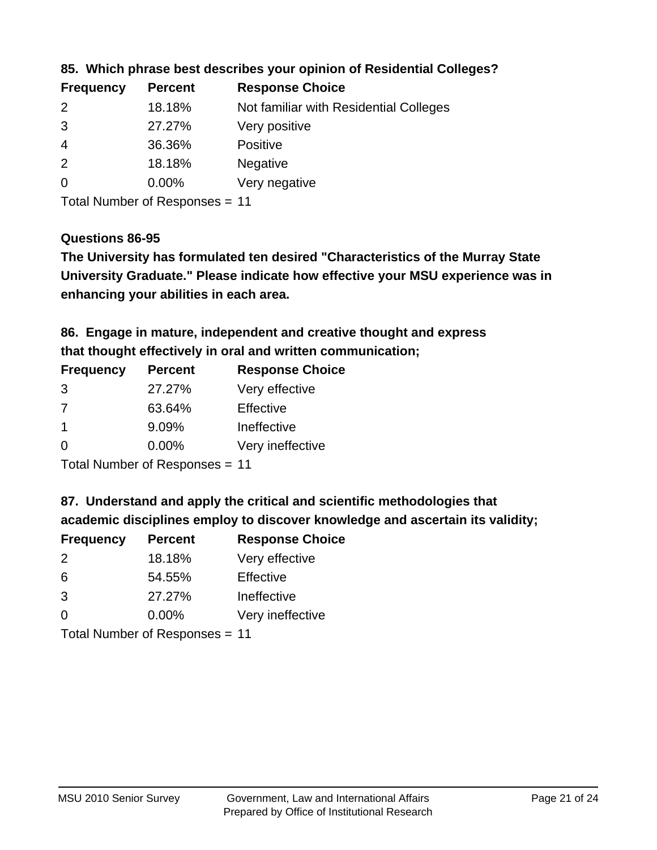| <b>Frequency</b> | <b>Percent</b> | <b>Response Choice</b>                 |
|------------------|----------------|----------------------------------------|
| $\mathcal{P}$    | 18.18%         | Not familiar with Residential Colleges |
| 3                | 27.27%         | Very positive                          |
| -4               | 36.36%         | <b>Positive</b>                        |
| 2                | 18.18%         | <b>Negative</b>                        |
| $\overline{0}$   | $0.00\%$       | Very negative                          |

### **85. Which phrase best describes your opinion of Residential Colleges?**

Total Number of Responses = 11

#### **Questions 86-95**

**University Graduate." Please indicate how effective your MSU experience was in The University has formulated ten desired "Characteristics of the Murray State enhancing your abilities in each area.**

**86. Engage in mature, independent and creative thought and express that thought effectively in oral and written communication;**

| <b>Percent</b> | <b>Response Choice</b> |
|----------------|------------------------|
| 27.27%         | Very effective         |
| 63.64%         | Effective              |
| 9.09%          | Ineffective            |
| $0.00\%$       | Very ineffective       |
|                |                        |

Total Number of Responses = 11

**87. Understand and apply the critical and scientific methodologies that** 

**academic disciplines employ to discover knowledge and ascertain its validity;**

| <b>Frequency</b> | <b>Percent</b> | <b>Response Choice</b> |
|------------------|----------------|------------------------|
| $\mathcal{P}$    | 18.18%         | Very effective         |
| 6                | 54.55%         | Effective              |
| 3                | 27.27%         | Ineffective            |
| $\Omega$         | 0.00%          | Very ineffective       |
|                  |                |                        |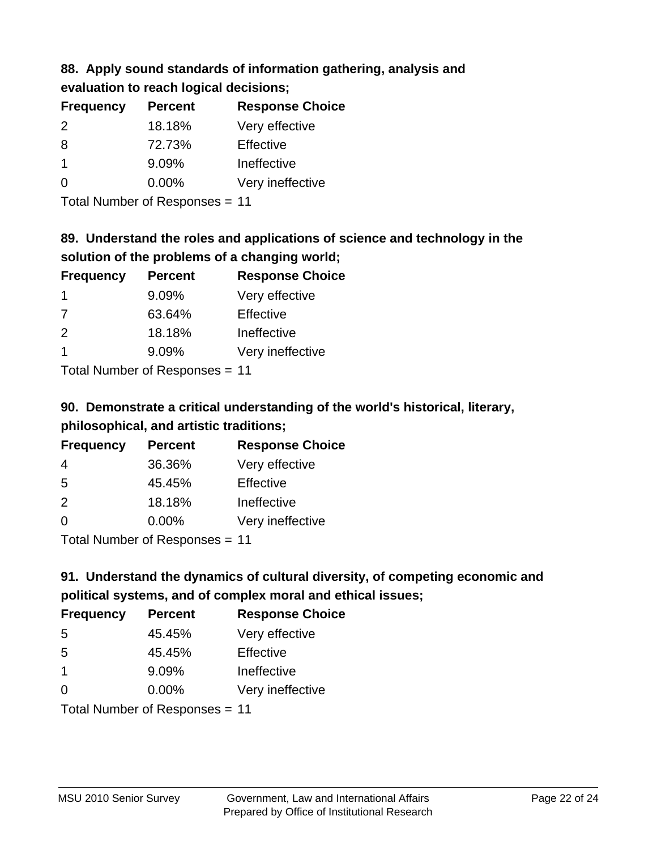# **88. Apply sound standards of information gathering, analysis and evaluation to reach logical decisions;**

| <b>Frequency</b> | <b>Percent</b> | <b>Response Choice</b> |
|------------------|----------------|------------------------|
| $\mathcal{P}$    | 18.18%         | Very effective         |
| 8                | 72.73%         | Effective              |
|                  | 9.09%          | Ineffective            |
| 0                | $0.00\%$       | Very ineffective       |

Total Number of Responses = 11

# **89. Understand the roles and applications of science and technology in the solution of the problems of a changing world;**

| <b>Frequency</b> | <b>Percent</b>             | <b>Response Choice</b> |
|------------------|----------------------------|------------------------|
| -1               | 9.09%                      | Very effective         |
| 7                | 63.64%                     | Effective              |
| 2                | 18.18%                     | Ineffective            |
|                  | 9.09%                      | Very ineffective       |
|                  | Tetal Number of Desperance |                        |

Total Number of Responses = 11

# **90. Demonstrate a critical understanding of the world's historical, literary, philosophical, and artistic traditions;**

| <b>Frequency</b> | <b>Percent</b> | <b>Response Choice</b> |
|------------------|----------------|------------------------|
| 4                | 36.36%         | Very effective         |
| 5                | 45.45%         | Effective              |
| $\mathcal{P}$    | 18.18%         | Ineffective            |
| $\Omega$         | 0.00%          | Very ineffective       |
|                  |                |                        |

Total Number of Responses = 11

# **91. Understand the dynamics of cultural diversity, of competing economic and political systems, and of complex moral and ethical issues;**

| <b>Frequency</b> | <b>Percent</b>                 | <b>Response Choice</b> |
|------------------|--------------------------------|------------------------|
| 5                | 45.45%                         | Very effective         |
| 5                | 45.45%                         | Effective              |
| $\overline{1}$   | 9.09%                          | Ineffective            |
| $\Omega$         | 0.00%                          | Very ineffective       |
|                  | Total Number of Responses = 11 |                        |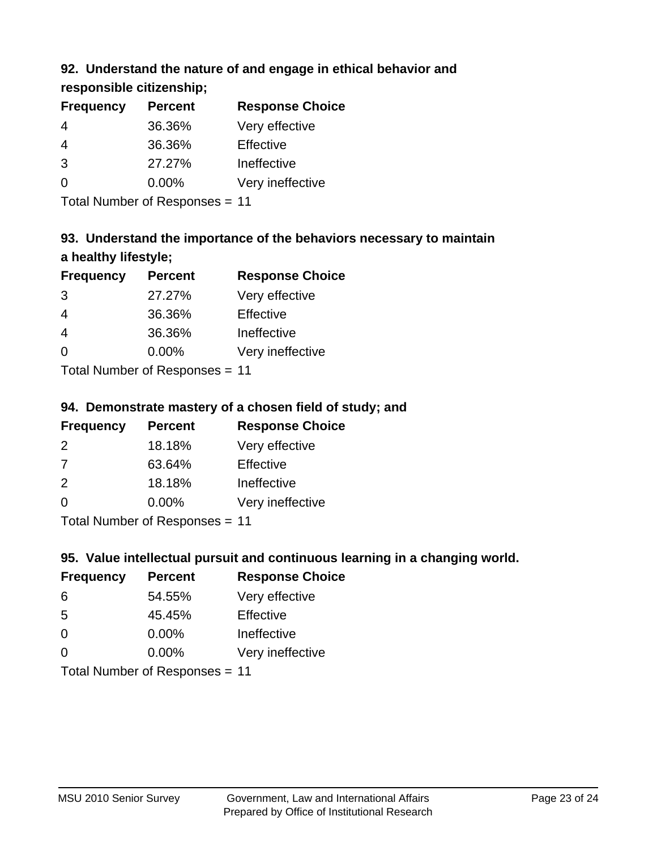# **92. Understand the nature of and engage in ethical behavior and**

**responsible citizenship;**

| <b>Percent</b> | <b>Response Choice</b> |
|----------------|------------------------|
| 36.36%         | Very effective         |
| 36.36%         | Effective              |
| 27.27%         | Ineffective            |
| $0.00\%$       | Very ineffective       |
|                |                        |

Total Number of Responses = 11

# **93. Understand the importance of the behaviors necessary to maintain a healthy lifestyle;**

| <b>Frequency</b>          | <b>Percent</b> | <b>Response Choice</b> |
|---------------------------|----------------|------------------------|
| 3                         | 27.27%         | Very effective         |
| 4                         | 36.36%         | Effective              |
| $\overline{4}$            | 36.36%         | Ineffective            |
| $\Omega$                  | 0.00%          | Very ineffective       |
| Total Number of Desponses |                |                        |

Total Number of Responses = 11

# **94. Demonstrate mastery of a chosen field of study; and**

| <b>Frequency</b> | <b>Percent</b> | <b>Response Choice</b> |
|------------------|----------------|------------------------|
| $\mathcal{P}$    | 18.18%         | Very effective         |
| 7                | 63.64%         | Effective              |
| $\mathcal{P}$    | 18.18%         | Ineffective            |
| $\Omega$         | $0.00\%$       | Very ineffective       |
|                  |                |                        |

Total Number of Responses = 11

# **95. Value intellectual pursuit and continuous learning in a changing world.**

| <b>Frequency</b>           | <b>Percent</b> | <b>Response Choice</b> |
|----------------------------|----------------|------------------------|
| 6                          | 54.55%         | Very effective         |
| 5                          | 45.45%         | Effective              |
| $\Omega$                   | 0.00%          | Ineffective            |
| $\Omega$                   | 0.00%          | Very ineffective       |
| Tatal Number of Desperance |                |                        |